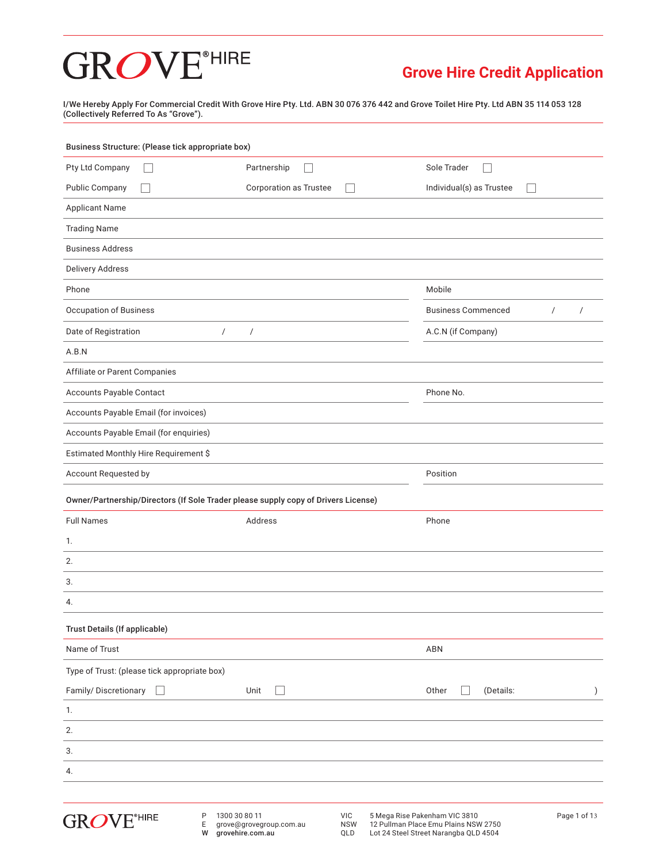### **Grove Hire Credit Application**

I/We Hereby Apply For Commercial Credit With Grove Hire Pty. Ltd. ABN 30 076 376 442 and Grove Toilet Hire Pty. Ltd ABN 35 114 053 128 (Collectively Referred To As "Grove").

| Pty Ltd Company                                                                    | Partnership                                               | Sole Trader                               |                              |
|------------------------------------------------------------------------------------|-----------------------------------------------------------|-------------------------------------------|------------------------------|
| <b>Public Company</b>                                                              | <b>Corporation as Trustee</b><br>$\overline{\phantom{a}}$ | Individual(s) as Trustee<br>$\mathcal{L}$ |                              |
| <b>Applicant Name</b>                                                              |                                                           |                                           |                              |
| <b>Trading Name</b>                                                                |                                                           |                                           |                              |
| <b>Business Address</b>                                                            |                                                           |                                           |                              |
| <b>Delivery Address</b>                                                            |                                                           |                                           |                              |
| Phone                                                                              |                                                           | Mobile                                    |                              |
| <b>Occupation of Business</b>                                                      |                                                           | <b>Business Commenced</b>                 | $\sqrt{ }$<br>$\overline{1}$ |
| Date of Registration<br>$\sqrt{2}$                                                 | $\sqrt{2}$                                                | A.C.N (if Company)                        |                              |
| A.B.N                                                                              |                                                           |                                           |                              |
| Affiliate or Parent Companies                                                      |                                                           |                                           |                              |
| Accounts Payable Contact                                                           |                                                           | Phone No.                                 |                              |
| Accounts Payable Email (for invoices)                                              |                                                           |                                           |                              |
| Accounts Payable Email (for enquiries)                                             |                                                           |                                           |                              |
| Estimated Monthly Hire Requirement \$                                              |                                                           |                                           |                              |
| Account Requested by                                                               |                                                           | Position                                  |                              |
| Owner/Partnership/Directors (If Sole Trader please supply copy of Drivers License) |                                                           |                                           |                              |
| <b>Full Names</b>                                                                  | Address                                                   | Phone                                     |                              |
| 1.                                                                                 |                                                           |                                           |                              |
| 2.                                                                                 |                                                           |                                           |                              |
| 3.                                                                                 |                                                           |                                           |                              |
| 4.                                                                                 |                                                           |                                           |                              |
|                                                                                    |                                                           |                                           |                              |
| Trust Details (If applicable)                                                      |                                                           |                                           |                              |
| Name of Trust                                                                      |                                                           | ABN                                       |                              |
| Type of Trust: (please tick appropriate box)                                       |                                                           |                                           |                              |
| Family/Discretionary                                                               | Unit                                                      | Other<br>(Details:                        | $\mathcal{E}$                |
| 1.                                                                                 |                                                           |                                           |                              |
| 2.                                                                                 |                                                           |                                           |                              |
| 3.                                                                                 |                                                           |                                           |                              |
| 4.                                                                                 |                                                           |                                           |                              |

W grovehire.com.au

QLD Lot 24 Steel Street Narangba QLD 4504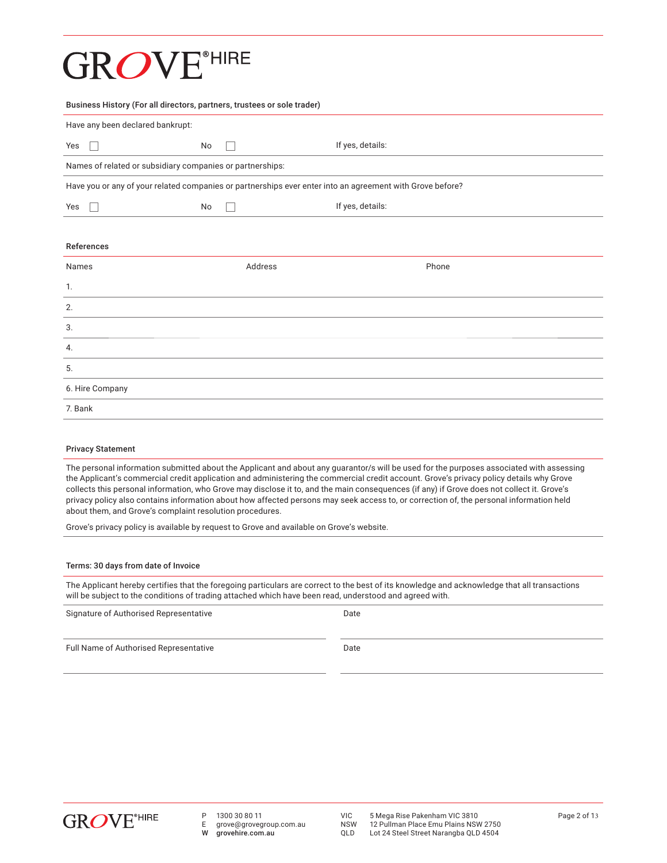### **GROVE**<sup>®HIRE</sup>

| Business History (For all directors, partners, trustees or sole trader)                                   |         |                  |  |
|-----------------------------------------------------------------------------------------------------------|---------|------------------|--|
| Have any been declared bankrupt:                                                                          |         |                  |  |
| Yes                                                                                                       | No      | If yes, details: |  |
| Names of related or subsidiary companies or partnerships:                                                 |         |                  |  |
| Have you or any of your related companies or partnerships ever enter into an agreement with Grove before? |         |                  |  |
| Yes<br>$\mathbb{R}$                                                                                       | No      | If yes, details: |  |
|                                                                                                           |         |                  |  |
| References                                                                                                |         |                  |  |
| Names                                                                                                     | Address | Phone            |  |
| 1.                                                                                                        |         |                  |  |
| 2.                                                                                                        |         |                  |  |
| 3.                                                                                                        |         |                  |  |
| 4.                                                                                                        |         |                  |  |
| 5.                                                                                                        |         |                  |  |
| 6. Hire Company                                                                                           |         |                  |  |
| 7. Bank                                                                                                   |         |                  |  |

#### Privacy Statement

The personal information submitted about the Applicant and about any guarantor/s will be used for the purposes associated with assessing the Applicant's commercial credit application and administering the commercial credit account. Grove's privacy policy details why Grove collects this personal information, who Grove may disclose it to, and the main consequences (if any) if Grove does not collect it. Grove's privacy policy also contains information about how affected persons may seek access to, or correction of, the personal information held about them, and Grove's complaint resolution procedures.

Grove's privacy policy is available by request to Grove and available on Grove's website.

#### Terms: 30 days from date of Invoice

The Applicant hereby certifies that the foregoing particulars are correct to the best of its knowledge and acknowledge that all transactions will be subject to the conditions of trading attached which have been read, understood and agreed with.

| Signature of Authorised Representative | Date |
|----------------------------------------|------|
| Full Name of Authorised Representative | Date |



- P 1300 30 80 11<br>E arove@arovea
- E grove@grovegroup.com.au<br>W arovehire.com.au grovehire.com.au

NSW 12 Pullman Place Emu Plains NSW 2750<br>QLD Lot 24 Steel Street Narangba QLD 4504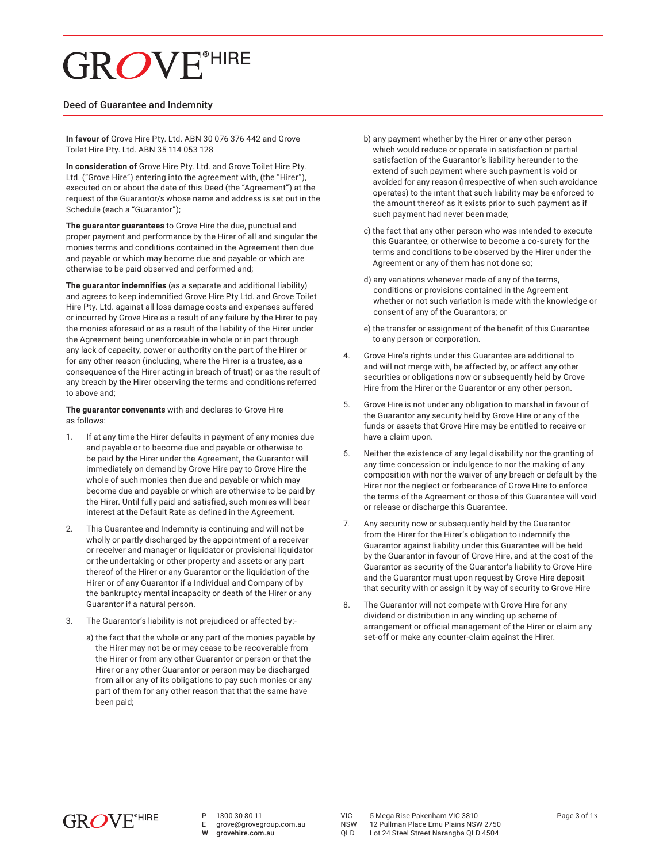#### Deed of Guarantee and Indemnity

**In favour of** Grove Hire Pty. Ltd. ABN 30 076 376 442 and Grove Toilet Hire Pty. Ltd. ABN 35 114 053 128

**In consideration of** Grove Hire Pty. Ltd. and Grove Toilet Hire Pty. Ltd. ("Grove Hire") entering into the agreement with, (the "Hirer"), executed on or about the date of this Deed (the "Agreement") at the request of the Guarantor/s whose name and address is set out in the Schedule (each a "Guarantor");

**The guarantor guarantees** to Grove Hire the due, punctual and proper payment and performance by the Hirer of all and singular the monies terms and conditions contained in the Agreement then due and payable or which may become due and payable or which are otherwise to be paid observed and performed and;

**The guarantor indemnifies** (as a separate and additional liability) and agrees to keep indemnified Grove Hire Pty Ltd. and Grove Toilet Hire Pty. Ltd. against all loss damage costs and expenses suffered or incurred by Grove Hire as a result of any failure by the Hirer to pay the monies aforesaid or as a result of the liability of the Hirer under the Agreement being unenforceable in whole or in part through any lack of capacity, power or authority on the part of the Hirer or for any other reason (including, where the Hirer is a trustee, as a consequence of the Hirer acting in breach of trust) or as the result of any breach by the Hirer observing the terms and conditions referred to above and;

**The guarantor convenants** with and declares to Grove Hire as follows:

- 1. If at any time the Hirer defaults in payment of any monies due and payable or to become due and payable or otherwise to be paid by the Hirer under the Agreement, the Guarantor will immediately on demand by Grove Hire pay to Grove Hire the whole of such monies then due and payable or which may become due and payable or which are otherwise to be paid by the Hirer. Until fully paid and satisfied, such monies will bear interest at the Default Rate as defined in the Agreement.
- 2. This Guarantee and Indemnity is continuing and will not be wholly or partly discharged by the appointment of a receiver or receiver and manager or liquidator or provisional liquidator or the undertaking or other property and assets or any part thereof of the Hirer or any Guarantor or the liquidation of the Hirer or of any Guarantor if a Individual and Company of by the bankruptcy mental incapacity or death of the Hirer or any Guarantor if a natural person.
- 3. The Guarantor's liability is not prejudiced or affected by:
	- a) the fact that the whole or any part of the monies payable by the Hirer may not be or may cease to be recoverable from the Hirer or from any other Guarantor or person or that the Hirer or any other Guarantor or person may be discharged from all or any of its obligations to pay such monies or any part of them for any other reason that that the same have been paid;
- b) any payment whether by the Hirer or any other person which would reduce or operate in satisfaction or partial satisfaction of the Guarantor's liability hereunder to the extend of such payment where such payment is void or avoided for any reason (irrespective of when such avoidance operates) to the intent that such liability may be enforced to the amount thereof as it exists prior to such payment as if such payment had never been made;
- c) the fact that any other person who was intended to execute this Guarantee, or otherwise to become a co-surety for the terms and conditions to be observed by the Hirer under the Agreement or any of them has not done so;
- d) any variations whenever made of any of the terms, conditions or provisions contained in the Agreement whether or not such variation is made with the knowledge or consent of any of the Guarantors; or
- e) the transfer or assignment of the benefit of this Guarantee to any person or corporation.
- 4. Grove Hire's rights under this Guarantee are additional to and will not merge with, be affected by, or affect any other securities or obligations now or subsequently held by Grove Hire from the Hirer or the Guarantor or any other person.
- 5. Grove Hire is not under any obligation to marshal in favour of the Guarantor any security held by Grove Hire or any of the funds or assets that Grove Hire may be entitled to receive or have a claim upon.
- 6. Neither the existence of any legal disability nor the granting of any time concession or indulgence to nor the making of any composition with nor the waiver of any breach or default by the Hirer nor the neglect or forbearance of Grove Hire to enforce the terms of the Agreement or those of this Guarantee will void or release or discharge this Guarantee.
- 7. Any security now or subsequently held by the Guarantor from the Hirer for the Hirer's obligation to indemnify the Guarantor against liability under this Guarantee will be held by the Guarantor in favour of Grove Hire, and at the cost of the Guarantor as security of the Guarantor's liability to Grove Hire and the Guarantor must upon request by Grove Hire deposit that security with or assign it by way of security to Grove Hire
- 8. The Guarantor will not compete with Grove Hire for any dividend or distribution in any winding up scheme of arrangement or official management of the Hirer or claim any set-off or make any counter-claim against the Hirer.



E grove@grovegroup.com.au<br>W grovebire.com.au grovehire.com.au

VIC 5 Mega Rise Pakenham VIC 3810<br>NSW 12 Pullman Place Emu Plains NSW 2750

NSW 12 Pullman Place Emu Plains NSW 2750<br>OLD Lot 24 Steel Street Narangba OLD 4504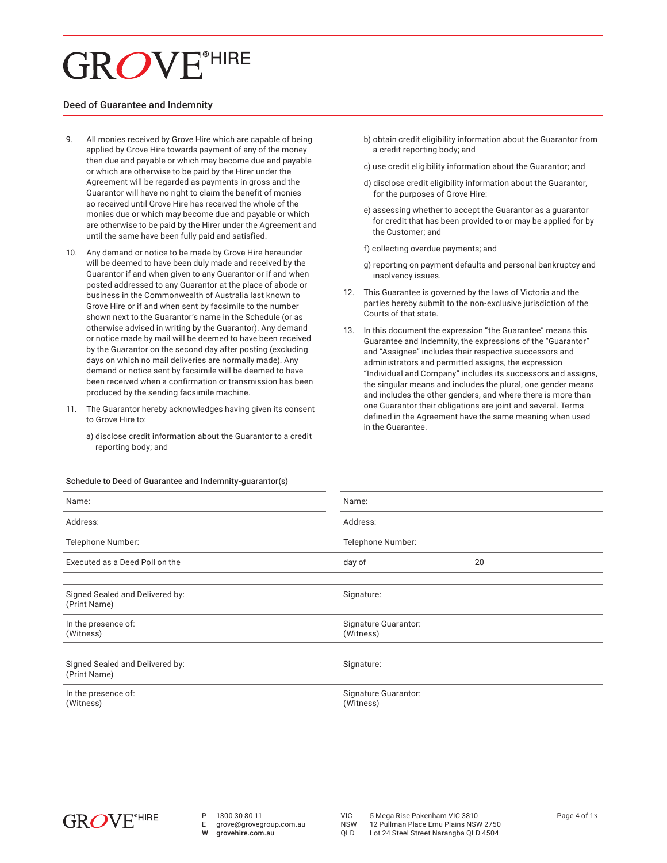## **GROVE**<sup>®HIRE</sup>

#### Deed of Guarantee and Indemnity

- 9. All monies received by Grove Hire which are capable of being applied by Grove Hire towards payment of any of the money then due and payable or which may become due and payable or which are otherwise to be paid by the Hirer under the Agreement will be regarded as payments in gross and the Guarantor will have no right to claim the benefit of monies so received until Grove Hire has received the whole of the monies due or which may become due and payable or which are otherwise to be paid by the Hirer under the Agreement and until the same have been fully paid and satisfied.
- 10. Any demand or notice to be made by Grove Hire hereunder will be deemed to have been duly made and received by the Guarantor if and when given to any Guarantor or if and when posted addressed to any Guarantor at the place of abode or business in the Commonwealth of Australia last known to Grove Hire or if and when sent by facsimile to the number shown next to the Guarantor's name in the Schedule (or as otherwise advised in writing by the Guarantor). Any demand or notice made by mail will be deemed to have been received by the Guarantor on the second day after posting (excluding days on which no mail deliveries are normally made). Any demand or notice sent by facsimile will be deemed to have been received when a confirmation or transmission has been produced by the sending facsimile machine.
- 11. The Guarantor hereby acknowledges having given its consent to Grove Hire to:
	- a) disclose credit information about the Guarantor to a credit reporting body; and
- b) obtain credit eligibility information about the Guarantor from a credit reporting body; and
- c) use credit eligibility information about the Guarantor; and
- d) disclose credit eligibility information about the Guarantor, for the purposes of Grove Hire:
- e) assessing whether to accept the Guarantor as a guarantor for credit that has been provided to or may be applied for by the Customer; and
- f) collecting overdue payments; and
- g) reporting on payment defaults and personal bankruptcy and insolvency issues.
- 12. This Guarantee is governed by the laws of Victoria and the parties hereby submit to the non-exclusive jurisdiction of the Courts of that state.
- 13. In this document the expression "the Guarantee" means this Guarantee and Indemnity, the expressions of the "Guarantor" and "Assignee" includes their respective successors and administrators and permitted assigns, the expression "Individual and Company" includes its successors and assigns, the singular means and includes the plural, one gender means and includes the other genders, and where there is more than one Guarantor their obligations are joint and several. Terms defined in the Agreement have the same meaning when used in the Guarantee.

| Name:                                           | Name:<br>Address:                 |    |  |
|-------------------------------------------------|-----------------------------------|----|--|
| Address:                                        |                                   |    |  |
| Telephone Number:                               | Telephone Number:                 |    |  |
| Executed as a Deed Poll on the                  | day of                            | 20 |  |
| Signed Sealed and Delivered by:<br>(Print Name) | Signature:                        |    |  |
| In the presence of:<br>(Witness)                | Signature Guarantor:<br>(Witness) |    |  |
| Signed Sealed and Delivered by:<br>(Print Name) | Signature:                        |    |  |
| In the presence of:<br>(Witness)                | Signature Guarantor:<br>(Witness) |    |  |
|                                                 |                                   |    |  |

#### Schedule to Deed of Guarantee and Indemnity-guarantor(s)



- P 1300 30 80 11<br>F arove@aroveg
- E grove@grovegroup.com.au<br>W grovehire.com.au grovehire.com.au

VIC 5 Mega Rise Pakenham VIC 3810<br>NSW 12 Pullman Place Emu Plains NSW 2750

NSW 12 Pullman Place Emu Plains NSW 2750<br>QLD Lot 24 Steel Street Narangba QLD 4504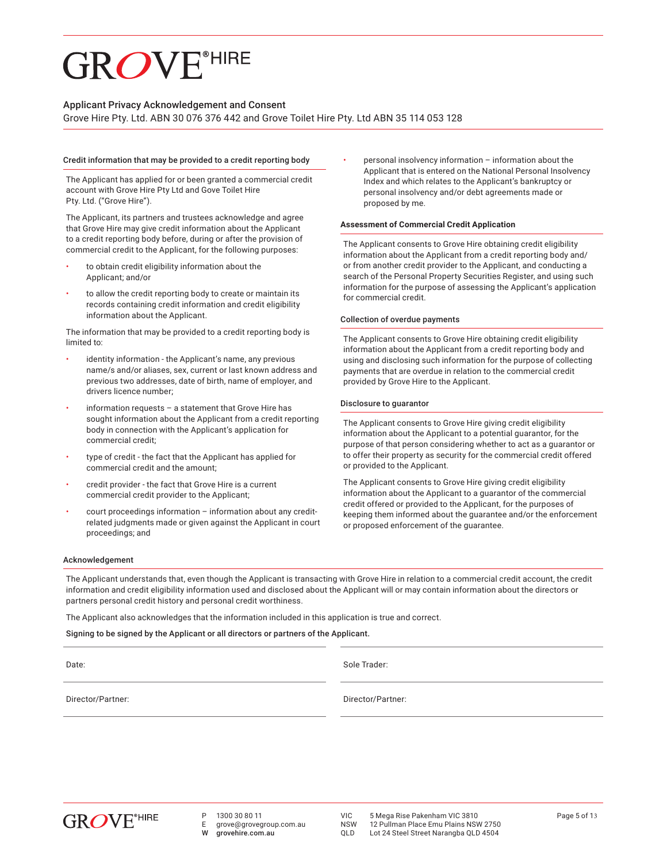#### Applicant Privacy Acknowledgement and Consent

Grove Hire Pty. Ltd. ABN 30 076 376 442 and Grove Toilet Hire Pty. Ltd ABN 35 114 053 128

#### Credit information that may be provided to a credit reporting body

The Applicant has applied for or been granted a commercial credit account with Grove Hire Pty Ltd and Gove Toilet Hire Pty. Ltd. ("Grove Hire").

The Applicant, its partners and trustees acknowledge and agree that Grove Hire may give credit information about the Applicant to a credit reporting body before, during or after the provision of commercial credit to the Applicant, for the following purposes:

- to obtain credit eligibility information about the Applicant; and/or
- to allow the credit reporting body to create or maintain its records containing credit information and credit eligibility information about the Applicant.

The information that may be provided to a credit reporting body is limited to:

- identity information the Applicant's name, any previous name/s and/or aliases, sex, current or last known address and previous two addresses, date of birth, name of employer, and drivers licence number;
- information requests  $-$  a statement that Grove Hire has sought information about the Applicant from a credit reporting body in connection with the Applicant's application for commercial credit;
- type of credit the fact that the Applicant has applied for commercial credit and the amount;
- credit provider the fact that Grove Hire is a current commercial credit provider to the Applicant;
- court proceedings information information about any creditrelated judgments made or given against the Applicant in court proceedings; and

 • personal insolvency information – information about the Applicant that is entered on the National Personal Insolvency Index and which relates to the Applicant's bankruptcy or personal insolvency and/or debt agreements made or proposed by me.

#### **Assessment of Commercial Credit Application**

The Applicant consents to Grove Hire obtaining credit eligibility information about the Applicant from a credit reporting body and/ or from another credit provider to the Applicant, and conducting a search of the Personal Property Securities Register, and using such information for the purpose of assessing the Applicant's application for commercial credit.

#### Collection of overdue payments

The Applicant consents to Grove Hire obtaining credit eligibility information about the Applicant from a credit reporting body and using and disclosing such information for the purpose of collecting payments that are overdue in relation to the commercial credit provided by Grove Hire to the Applicant.

#### Disclosure to guarantor

The Applicant consents to Grove Hire giving credit eligibility information about the Applicant to a potential guarantor, for the purpose of that person considering whether to act as a guarantor or to offer their property as security for the commercial credit offered or provided to the Applicant.

The Applicant consents to Grove Hire giving credit eligibility information about the Applicant to a guarantor of the commercial credit offered or provided to the Applicant, for the purposes of keeping them informed about the guarantee and/or the enforcement or proposed enforcement of the guarantee.

#### Acknowledgement

The Applicant understands that, even though the Applicant is transacting with Grove Hire in relation to a commercial credit account, the credit information and credit eligibility information used and disclosed about the Applicant will or may contain information about the directors or partners personal credit history and personal credit worthiness.

The Applicant also acknowledges that the information included in this application is true and correct.

Signing to be signed by the Applicant or all directors or partners of the Applicant.

Date: Sole Trader:

Director/Partner: Director/Partner:



P 1300 30 80 11

E grove@grovegroup.com.au grovehire.com.au

VIC 5 Mega Rise Pakenham VIC 3810<br>NSW 12 Pullman Place Emu Plains NSW 2750

NSW 12 Pullman Place Emu Plains NSW 2750<br>OLD Lot 24 Steel Street Narangba OLD 4504 Lot 24 Steel Street Narangba QLD 4504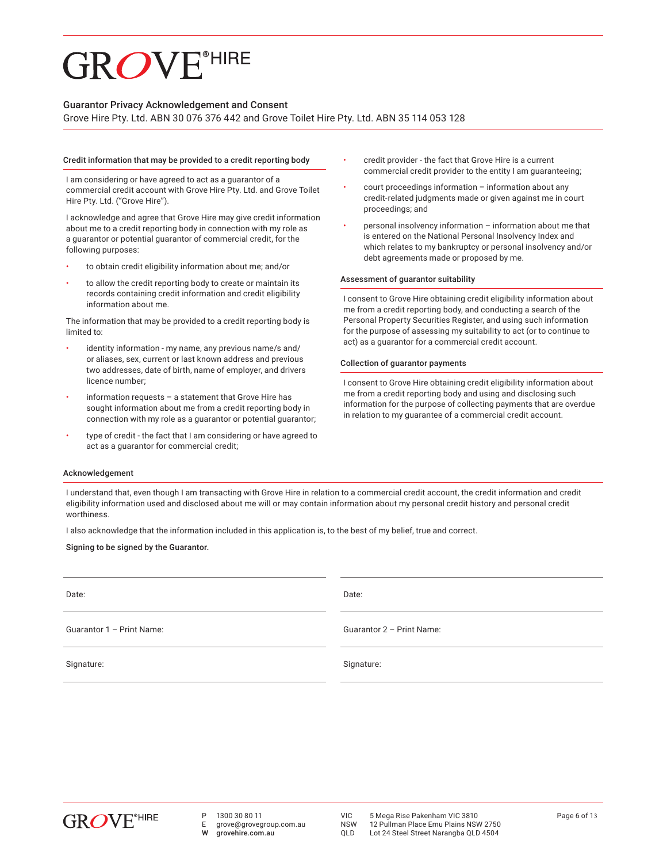#### Guarantor Privacy Acknowledgement and Consent

Grove Hire Pty. Ltd. ABN 30 076 376 442 and Grove Toilet Hire Pty. Ltd. ABN 35 114 053 128

#### Credit information that may be provided to a credit reporting body

 I am considering or have agreed to act as a guarantor of a commercial credit account with Grove Hire Pty. Ltd. and Grove Toilet Hire Pty. Ltd. ("Grove Hire").

 I acknowledge and agree that Grove Hire may give credit information about me to a credit reporting body in connection with my role as a guarantor or potential guarantor of commercial credit, for the following purposes:

- to obtain credit eligibility information about me; and/or
- to allow the credit reporting body to create or maintain its records containing credit information and credit eligibility information about me.

The information that may be provided to a credit reporting body is limited to:

- identity information my name, any previous name/s and/ or aliases, sex, current or last known address and previous two addresses, date of birth, name of employer, and drivers licence number;
- information requests  $-$  a statement that Grove Hire has sought information about me from a credit reporting body in connection with my role as a guarantor or potential guarantor;
- type of credit the fact that I am considering or have agreed to act as a guarantor for commercial credit;
- credit provider the fact that Grove Hire is a current commercial credit provider to the entity I am guaranteeing;
- court proceedings information information about any credit-related judgments made or given against me in court proceedings; and
- personal insolvency information information about me that is entered on the National Personal Insolvency Index and which relates to my bankruptcy or personal insolvency and/or debt agreements made or proposed by me.

#### Assessment of guarantor suitability

I consent to Grove Hire obtaining credit eligibility information about me from a credit reporting body, and conducting a search of the Personal Property Securities Register, and using such information for the purpose of assessing my suitability to act (or to continue to act) as a guarantor for a commercial credit account.

#### Collection of guarantor payments

I consent to Grove Hire obtaining credit eligibility information about me from a credit reporting body and using and disclosing such information for the purpose of collecting payments that are overdue in relation to my guarantee of a commercial credit account.

#### Acknowledgement

I understand that, even though I am transacting with Grove Hire in relation to a commercial credit account, the credit information and credit eligibility information used and disclosed about me will or may contain information about my personal credit history and personal credit worthiness.

I also acknowledge that the information included in this application is, to the best of my belief, true and correct.

Signing to be signed by the Guarantor.

| Date:                     | Date:                     |
|---------------------------|---------------------------|
| Guarantor 1 - Print Name: | Guarantor 2 - Print Name: |
| Signature:                | Signature:                |



E grove@grovegroup.com.au<br>W grovehire.com.au grovehire.com.au

VIC 5 Mega Rise Pakenham VIC 3810<br>NSW 12 Pullman Place Emu Plains NSW 2750

NSW 12 Pullman Place Emu Plains NSW 2750<br>QLD Lot 24 Steel Street Narangba QLD 4504 Lot 24 Steel Street Narangba QLD 4504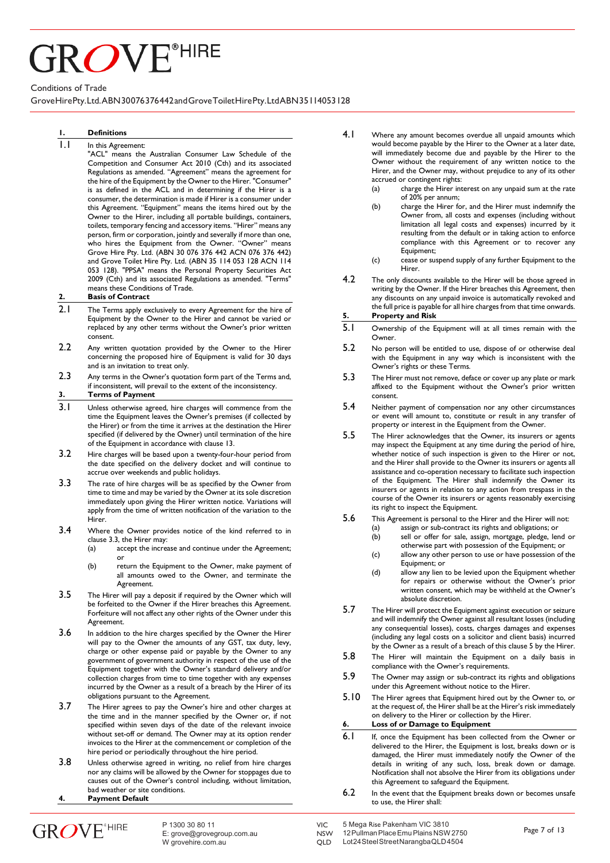# ROVE<sup>®HIRE</sup>

Conditions of Trade

#### GroveHirePty.Ltd.ABN30076376442andGroveToiletHirePty. Ltd ABN35114053128

#### **1. Definitions**

#### 1.1 In this Agreement:

"ACL" means the Australian Consumer Law Schedule of the Competition and Consumer Act 2010 (Cth) and its associated Regulations as amended. "Agreement" means the agreement for the hire of the Equipment by the Owner to the Hirer. "Consumer" is as defined in the ACL and in determining if the Hirer is a consumer, the determination is made if Hirer is a consumer under this Agreement. "Equipment" means the items hired out by the Owner to the Hirer, including all portable buildings, containers, toilets, temporary fencing and accessory items. "Hirer" means any person, firm or corporation, jointly and severally if more than one, who hires the Equipment from the Owner. "Owner" means Grove Hire Pty. Ltd. (ABN 30 076 376 442 ACN 076 376 442) and Grove Toilet Hire Pty. Ltd. (ABN 35 114 053 128 ACN 114 053 128). "PPSA" means the Personal Property Securities Act 2009 (Cth) and its associated Regulations as amended. "Terms" means these Conditions of Trade.

#### **2. Basis of Contract**

- 2.1 The Terms apply exclusively to every Agreement for the hire of Equipment by the Owner to the Hirer and cannot be varied or replaced by any other terms without the Owner's prior written consent.
- 2.2 Any written quotation provided by the Owner to the Hirer concerning the proposed hire of Equipment is valid for 30 days and is an invitation to treat only.
- 2.3 Any terms in the Owner's quotation form part of the Terms and, if inconsistent, will prevail to the extent of the inconsistency. **3. Terms of Payment**
- 3.1 Unless otherwise agreed, hire charges will commence from the time the Equipment leaves the Owner's premises (if collected by the Hirer) or from the time it arrives at the destination the Hirer
- specified (if delivered by the Owner) until termination of the hire of the Equipment in accordance with clause 13. 3.2 Hire charges will be based upon a twenty-four-hour period from
- the date specified on the delivery docket and will continue to accrue over weekends and public holidays.
- 3.3 The rate of hire charges will be as specified by the Owner from time to time and may be varied by the Owner at its sole discretion immediately upon giving the Hirer written notice. Variations will apply from the time of written notification of the variation to the Hirer.
- 3.4 Where the Owner provides notice of the kind referred to in clause 3.3, the Hirer may:
	- (a) accept the increase and continue under the Agreement; or
	- (b) return the Equipment to the Owner, make payment of all amounts owed to the Owner, and terminate the Agreement.
- 3.5 The Hirer will pay a deposit if required by the Owner which will be forfeited to the Owner if the Hirer breaches this Agreement. Forfeiture will not affect any other rights of the Owner under this Agreement.
- 3.6 In addition to the hire charges specified by the Owner the Hirer will pay to the Owner the amounts of any GST, tax duty, levy, charge or other expense paid or payable by the Owner to any government of government authority in respect of the use of the Equipment together with the Owner's standard delivery and/or collection charges from time to time together with any expenses incurred by the Owner as a result of a breach by the Hirer of its obligations pursuant to the Agreement.
- 3.7 The Hirer agrees to pay the Owner's hire and other charges at the time and in the manner specified by the Owner or, if not specified within seven days of the date of the relevant invoice without set-off or demand. The Owner may at its option render invoices to the Hirer at the commencement or completion of the hire period or periodically throughout the hire period.
- 3.8 Unless otherwise agreed in writing, no relief from hire charges nor any claims will be allowed by the Owner for stoppages due to causes out of the Owner's control including, without limitation, bad weather or site conditions.
- **4. Payment Default**
- **GROVE**\*HIRE
- 4.1 Where any amount becomes overdue all unpaid amounts which would become payable by the Hirer to the Owner at a later date, will immediately become due and payable by the Hirer to the Owner without the requirement of any written notice to the Hirer, and the Owner may, without prejudice to any of its other accrued or contingent rights:
	- (a) charge the Hirer interest on any unpaid sum at the rate of 20% per annum;
	- (b) charge the Hirer for, and the Hirer must indemnify the Owner from, all costs and expenses (including without limitation all legal costs and expenses) incurred by it resulting from the default or in taking action to enforce compliance with this Agreement or to recover any Equipment;
	- (c) cease or suspend supply of any further Equipment to the Hirer.
- 4.2 The only discounts available to the Hirer will be those agreed in writing by the Owner. If the Hirer breaches this Agreement, then any discounts on any unpaid invoice is automatically revoked and the full price is payable for all hire charges from that time onwards.

#### **5. Property and Risk**

- 5.1 Ownership of the Equipment will at all times remain with the **Owner**
- 5.2 No person will be entitled to use, dispose of or otherwise deal with the Equipment in any way which is inconsistent with the Owner's rights or these Terms.
- 5.3 The Hirer must not remove, deface or cover up any plate or mark affixed to the Equipment without the Owner's prior written consent.
- 5.4 Neither payment of compensation nor any other circumstances or event will amount to, constitute or result in any transfer of property or interest in the Equipment from the Owner.
- 5.5 The Hirer acknowledges that the Owner, its insurers or agents may inspect the Equipment at any time during the period of hire, whether notice of such inspection is given to the Hirer or not, and the Hirer shall provide to the Owner its insurers or agents all assistance and co-operation necessary to facilitate such inspection of the Equipment. The Hirer shall indemnify the Owner its insurers or agents in relation to any action from trespass in the course of the Owner its insurers or agents reasonably exercising its right to inspect the Equipment.
- 5.6 This Agreement is personal to the Hirer and the Hirer will not: (a) assign or sub-contract its rights and obligations; or
	- (b) sell or offer for sale, assign, mortgage, pledge, lend or otherwise part with possession of the Equipment; or
	- (c) allow any other person to use or have possession of the Equipment; or
	- (d) allow any lien to be levied upon the Equipment whether for repairs or otherwise without the Owner's prior written consent, which may be withheld at the Owner's absolute discretion.
- 5.7 The Hirer will protect the Equipment against execution or seizure and will indemnify the Owner against all resultant losses (including any consequential losses), costs, charges damages and expenses (including any legal costs on a solicitor and client basis) incurred by the Owner as a result of a breach of this clause 5 by the Hirer.
- 5.8 The Hirer will maintain the Equipment on a daily basis in compliance with the Owner's requirements.
- 5.9 The Owner may assign or sub-contract its rights and obligations under this Agreement without notice to the Hirer.
- 5.10 The Hirer agrees that Equipment hired out by the Owner to, or at the request of, the Hirer shall be at the Hirer's risk immediately on delivery to the Hirer or collection by the Hirer.

#### **6. Loss of or Damage to Equipment**

- 6.1 If, once the Equipment has been collected from the Owner or delivered to the Hirer, the Equipment is lost, breaks down or is damaged, the Hirer must immediately notify the Owner of the details in writing of any such, loss, break down or damage. Notification shall not absolve the Hirer from its obligations under this Agreement to safeguard the Equipment.
- 6.2 In the event that the Equipment breaks down or becomes unsafe to use, the Hirer shall: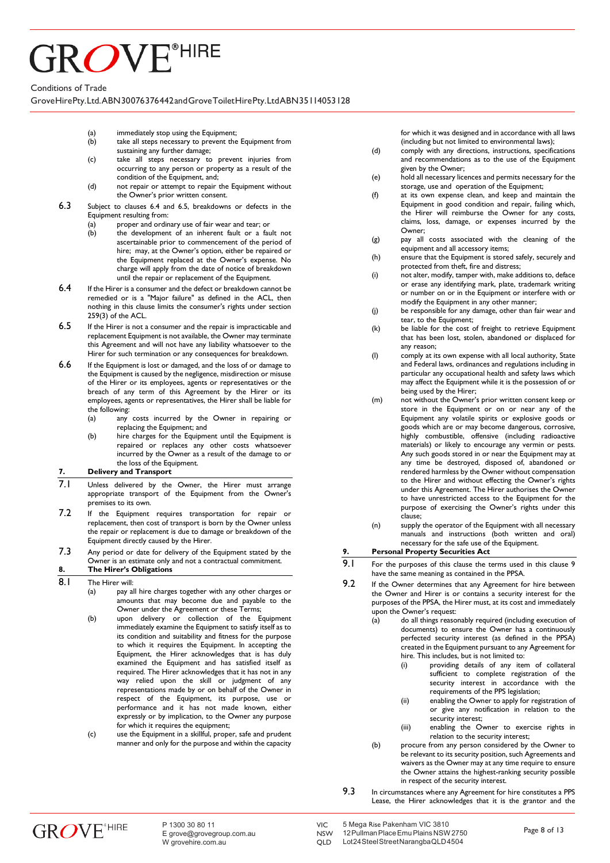# ROVE<sup>®HIRE</sup>

#### Conditions of Trade

GroveHirePty.Ltd.ABN30076376442andGroveToiletHirePty. Ltd ABN35114053128

- (a) immediately stop using the Equipment;<br>(b) take all steps necessary to prevent the
- take all steps necessary to prevent the Equipment from sustaining any further damage;
- (c) take all steps necessary to prevent injuries from occurring to any person or property as a result of the condition of the Equipment, and;
- (d) not repair or attempt to repair the Equipment without the Owner's prior written consent.
- 6.3 Subject to clauses 6.4 and 6.5, breakdowns or defects in the Equipment resulting from:
	- (a) proper and ordinary use of fair wear and tear; or<br>(b) the development of an inherent fault or a fai
	- the development of an inherent fault or a fault not ascertainable prior to commencement of the period of hire; may, at the Owner's option, either be repaired or the Equipment replaced at the Owner's expense. No charge will apply from the date of notice of breakdown until the repair or replacement of the Equipment.
- 6.4 If the Hirer is a consumer and the defect or breakdown cannot be remedied or is a "Major failure" as defined in the ACL, then nothing in this clause limits the consumer's rights under section 259(3) of the ACL.
- 6.5 If the Hirer is not a consumer and the repair is impracticable and replacement Equipment is not available, the Owner may terminate this Agreement and will not have any liability whatsoever to the Hirer for such termination or any consequences for breakdown.
- 6.6 If the Equipment is lost or damaged, and the loss of or damage to the Equipment is caused by the negligence, misdirection or misuse of the Hirer or its employees, agents or representatives or the breach of any term of this Agreement by the Hirer or its employees, agents or representatives, the Hirer shall be liable for
	- the following:<br>(a) any any costs incurred by the Owner in repairing or replacing the Equipment; and
	- (b) hire charges for the Equipment until the Equipment is repaired or replaces any other costs whatsoever incurred by the Owner as a result of the damage to or the loss of the Equipment.

#### **7. Delivery and Transport**

- 7.1 Unless delivered by the Owner, the Hirer must arrange appropriate transport of the Equipment from the Owner's premises to its own.
- 7.2 If the Equipment requires transportation for repair or replacement, then cost of transport is born by the Owner unless the repair or replacement is due to damage or breakdown of the Equipment directly caused by the Hirer.
- 7.3 Any period or date for delivery of the Equipment stated by the Owner is an estimate only and not a contractual commitment.

#### **8. The Hirer's Obligations**

- 8.1 The Hirer will:<br>(a) pay a
	- pay all hire charges together with any other charges or amounts that may become due and payable to the Owner under the Agreement or these Terms;
	- (b) upon delivery or collection of the Equipment immediately examine the Equipment to satisfy itself as to its condition and suitability and fitness for the purpose to which it requires the Equipment. In accepting the Equipment, the Hirer acknowledges that is has duly examined the Equipment and has satisfied itself as required. The Hirer acknowledges that it has not in any way relied upon the skill or judgment of any representations made by or on behalf of the Owner in respect of the Equipment, its purpose, use or performance and it has not made known, either expressly or by implication, to the Owner any purpose for which it requires the equipment;
	- (c) use the Equipment in a skillful, proper, safe and prudent manner and only for the purpose and within the capacity

for which it was designed and in accordance with all laws (including but not limited to environmental laws);

- (d) comply with any directions, instructions, specifications and recommendations as to the use of the Equipment given by the Owner;
- (e) hold all necessary licences and permits necessary for the storage, use and operation of the Equipment;
- (f) at its own expense clean, and keep and maintain the Equipment in good condition and repair, failing which, the Hirer will reimburse the Owner for any costs, claims, loss, damage, or expenses incurred by the Owner;
- (g) pay all costs associated with the cleaning of the equipment and all accessory items;
- (h) ensure that the Equipment is stored safely, securely and protected from theft, fire and distress;
- (i) not alter, modify, tamper with, make additions to, deface or erase any identifying mark, plate, trademark writing or number on or in the Equipment or interfere with or modify the Equipment in any other manner;
- (j) be responsible for any damage, other than fair wear and tear, to the Equipment;
- (k) be liable for the cost of freight to retrieve Equipment that has been lost, stolen, abandoned or displaced for any reason;
- (l) comply at its own expense with all local authority, State and Federal laws, ordinances and regulations including in particular any occupational health and safety laws which may affect the Equipment while it is the possession of or being used by the Hirer;
- (m) not without the Owner's prior written consent keep or store in the Equipment or on or near any of the Equipment any volatile spirits or explosive goods or goods which are or may become dangerous, corrosive, highly combustible, offensive (including radioactive materials) or likely to encourage any vermin or pests. Any such goods stored in or near the Equipment may at any time be destroyed, disposed of, abandoned or rendered harmless by the Owner without compensation to the Hirer and without effecting the Owner's rights under this Agreement. The Hirer authorises the Owner to have unrestricted access to the Equipment for the purpose of exercising the Owner's rights under this clause;
- (n) supply the operator of the Equipment with all necessary manuals and instructions (both written and oral) necessary for the safe use of the Equipment.

#### **9. Personal Property Securities Act**

- 9.1 For the purposes of this clause the terms used in this clause 9 have the same meaning as contained in the PPSA.
- 9.2 If the Owner determines that any Agreement for hire between the Owner and Hirer is or contains a security interest for the purposes of the PPSA, the Hirer must, at its cost and immediately upon the Owner's request:
	- (a) do all things reasonably required (including execution of documents) to ensure the Owner has a continuously perfected security interest (as defined in the PPSA) created in the Equipment pursuant to any Agreement for hire. This includes, but is not limited to:
		- (i) providing details of any item of collateral sufficient to complete registration of the security interest in accordance with the requirements of the PPS legislation;
		- (ii) enabling the Owner to apply for registration of or give any notification in relation to the security interest;
		- (iii) enabling the Owner to exercise rights in relation to the security interest;
	- (b) procure from any person considered by the Owner to be relevant to its security position, such Agreements and waivers as the Owner may at any time require to ensure the Owner attains the highest-ranking security possible in respect of the security interest.
- 9.3 In circumstances where any Agreement for hire constitutes a PPS Lease, the Hirer acknowledges that it is the grantor and the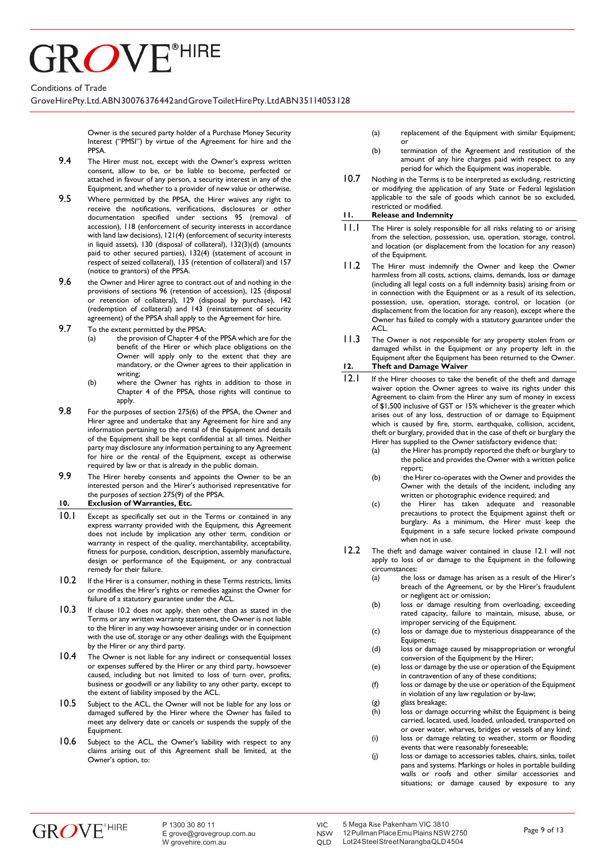# ROVE<sup>®HIRE</sup>

#### Conditions of Trade

GroveHirePty.Ltd.ABN30076376442andGroveToiletHirePty. Ltd ABN35114053128

Owner is the secured party holder of a Purchase Money Security Interest ("PMSI") by virtue of the Agreement for hire and the PPSA.

- 9.4 The Hirer must not, except with the Owner's express written consent, allow to be, or be liable to become, perfected or attached in favour of any person, a security interest in any of the Equipment, and whether to a provider of new value or otherwise.
- 9.5 Where permitted by the PPSA, the Hirer waives any right to receive the notifications, verifications, disclosures or other documentation specified under sections 95 (removal of accession), 118 (enforcement of security interests in accordance with land law decisions), 121(4) (enforcement of security interests in liquid assets), 130 (disposal of collateral), 132(3)(d) (amounts paid to other secured parties), 132(4) (statement of account in respect of seized collateral), 135 (retention of collateral) and 157 (notice to grantors) of the PPSA.
- $9.6$  the Owner and Hirer agree to contract out of and nothing in the provisions of sections 96 (retention of accession), 125 (disposal or retention of collateral), 129 (disposal by purchase), 142 (redemption of collateral) and 143 (reinstatement of security agreement) of the PPSA shall apply to the Agreement for hire.
- **9.7** To the extent permitted by the PPSA:<br>(a) the provision of Chapter 4 of
	- the provision of Chapter 4 of the PPSA which are for the benefit of the Hirer or which place obligations on the Owner will apply only to the extent that they are mandatory, or the Owner agrees to their application in writing;
	- (b) where the Owner has rights in addition to those in Chapter 4 of the PPSA, those rights will continue to apply.
- 9.8 For the purposes of section 275(6) of the PPSA, the Owner and Hirer agree and undertake that any Agreement for hire and any information pertaining to the rental of the Equipment and details of the Equipment shall be kept confidential at all times. Neither party may disclosure any information pertaining to any Agreement for hire or the rental of the Equipment, except as otherwise required by law or that is already in the public domain.
- 9.9 The Hirer hereby consents and appoints the Owner to be an interested person and the Hirer's authorised representative for the purposes of section 275(9) of the PPSA.
- **10. Exclusion of Warranties, Etc.**
- 10.1 Except as specifically set out in the Terms or contained in any express warranty provided with the Equipment, this Agreement does not include by implication any other term, condition or warranty in respect of the quality, merchantability, acceptability, fitness for purpose, condition, description, assembly manufacture, design or performance of the Equipment, or any contractual remedy for their failure.
- 10.2 If the Hirer is a consumer, nothing in these Terms restricts, limits or modifies the Hirer's rights or remedies against the Owner for failure of a statutory guarantee under the ACL.
- 10.3 If clause 10.2 does not apply, then other than as stated in the Terms or any written warranty statement, the Owner is not liable to the Hirer in any way howsoever arising under or in connection with the use of, storage or any other dealings with the Equipment by the Hirer or any third party.
- 10.4 The Owner is not liable for any indirect or consequential losses or expenses suffered by the Hirer or any third party, howsoever caused, including but not limited to loss of turn over, profits, business or goodwill or any liability to any other party, except to the extent of liability imposed by the ACL.
- 10.5 Subject to the ACL, the Owner will not be liable for any loss or damaged suffered by the Hirer where the Owner has failed to meet any delivery date or cancels or suspends the supply of the Equipment.
- 10.6 Subject to the ACL, the Owner's liability with respect to any claims arising out of this Agreement shall be limited, at the Owner's option, to:
- (a) replacement of the Equipment with similar Equipment; or
- (b) termination of the Agreement and restitution of the amount of any hire charges paid with respect to any period for which the Equipment was inoperable.
- 10.7 Nothing in the Terms is to be interpreted as excluding, restricting or modifying the application of any State or Federal legislation applicable to the sale of goods which cannot be so excluded, restricted or modified.

#### **11. Release and Indemnity**

- 11.1 The Hirer is solely responsible for all risks relating to or arising from the selection, possession, use, operation, storage, control, and location (or displacement from the location for any reason) of the Equipment.
- 11.2 The Hirer must indemnify the Owner and keep the Owner harmless from all costs, actions, claims, demands, loss or damage (including all legal costs on a full indemnity basis) arising from or in connection with the Equipment or as a result of its selection, possession, use, operation, storage, control, or location (or displacement from the location for any reason), except where the Owner has failed to comply with a statutory guarantee under the **ACL**
- 11.3 The Owner is not responsible for any property stolen from or damaged whilst in the Equipment or any property left in the Equipment after the Equipment has been returned to the Owner.

#### **12. Theft and Damage Waiver**

- 12.1 If the Hirer chooses to take the benefit of the theft and damage waiver option the Owner agrees to waive its rights under this Agreement to claim from the Hirer any sum of money in excess of \$1,500 inclusive of GST or 15% whichever is the greater which arises out of any loss, destruction of or damage to Equipment which is caused by fire, storm, earthquake, collision, accident, theft or burglary, provided that in the case of theft or burglary the Hirer has supplied to the Owner satisfactory evidence that:
	- (a) the Hirer has promptly reported the theft or burglary to the police and provides the Owner with a written police report;
	- (b) the Hirer co-operates with the Owner and provides the Owner with the details of the incident, including any written or photographic evidence required; and
	- (c) the Hirer has taken adequate and reasonable precautions to protect the Equipment against theft or burglary. As a minimum, the Hirer must keep the Equipment in a safe secure locked private compound when not in use.
- 12.2 The theft and damage waiver contained in clause 12.1 will not apply to loss of or damage to the Equipment in the following circumstances:<br>(a) the lo
	- the loss or damage has arisen as a result of the Hirer's breach of the Agreement, or by the Hirer's fraudulent or negligent act or omission;
	- (b) loss or damage resulting from overloading, exceeding rated capacity, failure to maintain, misuse, abuse, or improper servicing of the Equipment.
	- (c) loss or damage due to mysterious disappearance of the Equipment;
	- (d) loss or damage caused by misappropriation or wrongful conversion of the Equipment by the Hirer;
	- (e) loss or damage by the use or operation of the Equipment in contravention of any of these conditions;
	- (f) loss or damage by the use or operation of the Equipment in violation of any law regulation or by-law;
	- (g) glass breakage;
	- $(h)$  loss or damage occurring whilst the Equipment is being carried, located, used, loaded, unloaded, transported on or over water, wharves, bridges or vessels of any kind;
	- (i) loss or damage relating to weather, storm or flooding events that were reasonably foreseeable;
	- (j) loss or damage to accessories tables, chairs, sinks, toilet pans and systems. Markings or holes in portable building walls or roofs and other similar accessories and situations; or damage caused by exposure to any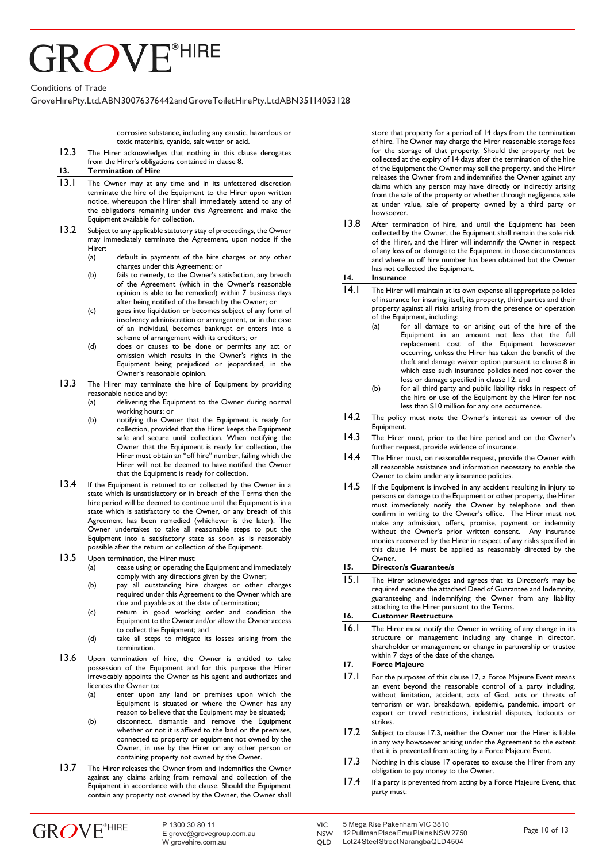# **GROVE**<sup>®HIRE</sup>

Conditions of Trade

GroveHirePty.Ltd.ABN30076376442andGroveToiletHirePty. Ltd ABN35114053128

corrosive substance, including any caustic, hazardous or toxic materials, cyanide, salt water or acid.

12.3 The Hirer acknowledges that nothing in this clause derogates from the Hirer's obligations contained in clause 8.

#### **13. Termination of Hire**

- 13.1 The Owner may at any time and in its unfettered discretion terminate the hire of the Equipment to the Hirer upon written notice, whereupon the Hirer shall immediately attend to any of the obligations remaining under this Agreement and make the Equipment available for collection.
- 13.2 Subject to any applicable statutory stay of proceedings, the Owner may immediately terminate the Agreement, upon notice if the Hirer:
	- (a) default in payments of the hire charges or any other charges under this Agreement; or
	- (b) fails to remedy, to the Owner's satisfaction, any breach of the Agreement (which in the Owner's reasonable opinion is able to be remedied) within 7 business days after being notified of the breach by the Owner; or
	- (c) goes into liquidation or becomes subject of any form of insolvency administration or arrangement, or in the case of an individual, becomes bankrupt or enters into a scheme of arrangement with its creditors; or
	- (d) does or causes to be done or permits any act or omission which results in the Owner's rights in the Equipment being prejudiced or jeopardised, in the Owner's reasonable opinion.
- 13.3 The Hirer may terminate the hire of Equipment by providing reasonable notice and by:
	- (a) delivering the Equipment to the Owner during normal working hours; or
	- (b) notifying the Owner that the Equipment is ready for collection, provided that the Hirer keeps the Equipment safe and secure until collection. When notifying the Owner that the Equipment is ready for collection, the Hirer must obtain an "off hire" number, failing which the Hirer will not be deemed to have notified the Owner that the Equipment is ready for collection.
- 13.4 If the Equipment is retuned to or collected by the Owner in a state which is unsatisfactory or in breach of the Terms then the hire period will be deemed to continue until the Equipment is in a state which is satisfactory to the Owner, or any breach of this Agreement has been remedied (whichever is the later). The Owner undertakes to take all reasonable steps to put the Equipment into a satisfactory state as soon as is reasonably possible after the return or collection of the Equipment.
- 13.5 Upon termination, the Hirer must:
	- (a) cease using or operating the Equipment and immediately comply with any directions given by the Owner;
	- (b) pay all outstanding hire charges or other charges required under this Agreement to the Owner which are due and payable as at the date of termination;
	- (c) return in good working order and condition the Equipment to the Owner and/or allow the Owner access to collect the Equipment; and
	- (d) take all steps to mitigate its losses arising from the termination.
- 13.6 Upon termination of hire, the Owner is entitled to take possession of the Equipment and for this purpose the Hirer irrevocably appoints the Owner as his agent and authorizes and licences the Owner to:
	- (a) enter upon any land or premises upon which the Equipment is situated or where the Owner has any reason to believe that the Equipment may be situated;
	- (b) disconnect, dismantle and remove the Equipment whether or not it is affixed to the land or the premises, connected to property or equipment not owned by the Owner, in use by the Hirer or any other person or containing property not owned by the Owner.
- 13.7 The Hirer releases the Owner from and indemnifies the Owner against any claims arising from removal and collection of the Equipment in accordance with the clause. Should the Equipment contain any property not owned by the Owner, the Owner shall

store that property for a period of 14 days from the termination of hire. The Owner may charge the Hirer reasonable storage fees for the storage of that property. Should the property not be collected at the expiry of 14 days after the termination of the hire of the Equipment the Owner may sell the property, and the Hirer releases the Owner from and indemnifies the Owner against any claims which any person may have directly or indirectly arising from the sale of the property or whether through negligence, sale at under value, sale of property owned by a third party or howsoever.

13.8 After termination of hire, and until the Equipment has been collected by the Owner, the Equipment shall remain the sole risk of the Hirer, and the Hirer will indemnify the Owner in respect of any loss of or damage to the Equipment in those circumstances and where an off hire number has been obtained but the Owner has not collected the Equipment.

**14. Insurance**

- 14.1 The Hirer will maintain at its own expense all appropriate policies of insurance for insuring itself, its property, third parties and their property against all risks arising from the presence or operation of the Equipment, including:
	- (a) for all damage to or arising out of the hire of the Equipment in an amount not less that the full replacement cost of the Equipment howsoever occurring, unless the Hirer has taken the benefit of the theft and damage waiver option pursuant to clause 8 in which case such insurance policies need not cover the loss or damage specified in clause 12; and
	- (b) for all third party and public liability risks in respect of the hire or use of the Equipment by the Hirer for not less than \$10 million for any one occurrence.
- 14.2 The policy must note the Owner's interest as owner of the Equipment.
- 14.3 The Hirer must, prior to the hire period and on the Owner's further request, provide evidence of insurance.
- 14.4 The Hirer must, on reasonable request, provide the Owner with all reasonable assistance and information necessary to enable the Owner to claim under any insurance policies.
- 14.5 If the Equipment is involved in any accident resulting in injury to persons or damage to the Equipment or other property, the Hirer must immediately notify the Owner by telephone and then confirm in writing to the Owner's office. The Hirer must not make any admission, offers, promise, payment or indemnity without the Owner's prior written consent. Any insurance monies recovered by the Hirer in respect of any risks specified in this clause 14 must be applied as reasonably directed by the Owner.

#### **15. Director/s Guarantee/s**

15.1 The Hirer acknowledges and agrees that its Director/s may be required execute the attached Deed of Guarantee and Indemnity, guaranteeing and indemnifying the Owner from any liability attaching to the Hirer pursuant to the Terms.

#### **16. Customer Restructure**

16.1 The Hirer must notify the Owner in writing of any change in its structure or management including any change in director, shareholder or management or change in partnership or trustee within 7 days of the date of the change.

#### <span id="page-9-0"></span>**17. Force Majeure**

- 17.1 For the purposes of this clause [17,](#page-9-0) a Force Majeure Event means an event beyond the reasonable control of a party including, without limitation, accident, acts of God, acts or threats of terrorism or war, breakdown, epidemic, pandemic, import or export or travel restrictions, industrial disputes, lockouts or strikes.
- 17.2 Subject to clause [17.3,](#page-9-1) neither the Owner nor the Hirer is liable in any way howsoever arising under the Agreement to the extent that it is prevented from acting by a Force Majeure Event.
- <span id="page-9-1"></span>17.3 Nothing in this clause [17](#page-9-0) operates to excuse the Hirer from any obligation to pay money to the Owner.
- 17.4 If a party is prevented from acting by a Force Majeure Event, that party must:

QLD Lot24SteelStreetNarangbaQLD4504

**NSW**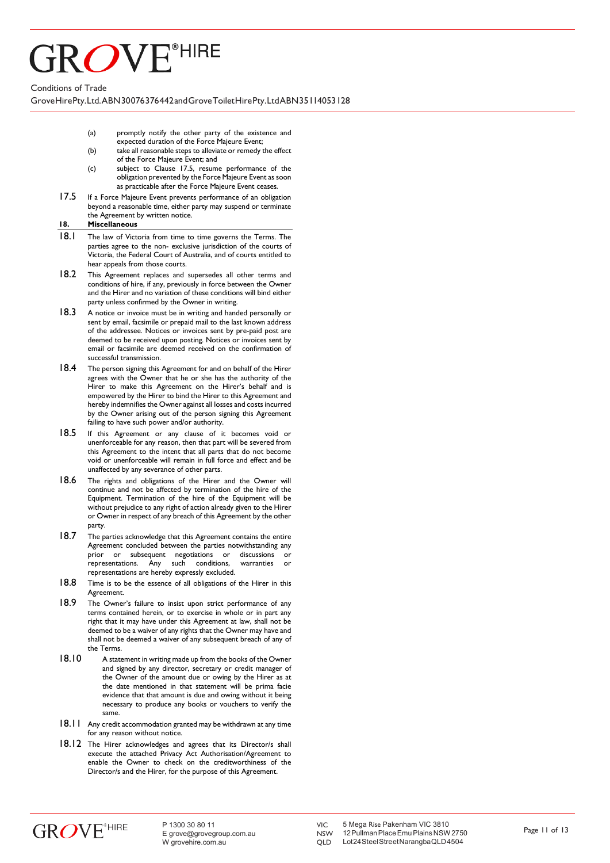### **HIRE ROVE®**

Conditions of Trade

GroveHirePty.Ltd.ABN30076376442andGroveToiletHirePty. Ltd ABN35114053128

- (a) promptly notify the other party of the existence and expected duration of the Force Majeure Event;
- (b) take all reasonable steps to alleviate or remedy the effect of the Force Majeure Event; and
- (c) subject to Clause [17.5,](#page-10-0) resume performance of the obligation prevented by the Force Majeure Event as soon as practicable after the Force Majeure Event ceases.
- <span id="page-10-0"></span>17.5 If a Force Majeure Event prevents performance of an obligation beyond a reasonable time, either party may suspend or terminate the Agreement by written notice.

#### **18. Miscellaneous**

- 18.1 The law of Victoria from time to time governs the Terms. The parties agree to the non- exclusive jurisdiction of the courts of Victoria, the Federal Court of Australia, and of courts entitled to hear appeals from those courts.
- 18.2 This Agreement replaces and supersedes all other terms and conditions of hire, if any, previously in force between the Owner and the Hirer and no variation of these conditions will bind either party unless confirmed by the Owner in writing.
- 18.3 A notice or invoice must be in writing and handed personally or sent by email, facsimile or prepaid mail to the last known address of the addressee. Notices or invoices sent by pre-paid post are deemed to be received upon posting. Notices or invoices sent by email or facsimile are deemed received on the confirmation of successful transmission.
- 18.4 The person signing this Agreement for and on behalf of the Hirer agrees with the Owner that he or she has the authority of the Hirer to make this Agreement on the Hirer's behalf and is empowered by the Hirer to bind the Hirer to this Agreement and hereby indemnifies the Owner against all losses and costs incurred by the Owner arising out of the person signing this Agreement failing to have such power and/or authority.
- 18.5 If this Agreement or any clause of it becomes void or unenforceable for any reason, then that part will be severed from this Agreement to the intent that all parts that do not become void or unenforceable will remain in full force and effect and be unaffected by any severance of other parts.
- 18.6 The rights and obligations of the Hirer and the Owner will continue and not be affected by termination of the hire of the Equipment. Termination of the hire of the Equipment will be without prejudice to any right of action already given to the Hirer or Owner in respect of any breach of this Agreement by the other party.
- 18.7 The parties acknowledge that this Agreement contains the entire Agreement concluded between the parties notwithstanding any<br>prior or subsequent negotiations or discussions or prior or subsequent negotiations or representations. Any such conditions, warranties or representations are hereby expressly excluded.
- 18.8 Time is to be the essence of all obligations of the Hirer in this Agreement.
- 18.9 The Owner's failure to insist upon strict performance of any terms contained herein, or to exercise in whole or in part any right that it may have under this Agreement at law, shall not be deemed to be a waiver of any rights that the Owner may have and shall not be deemed a waiver of any subsequent breach of any of the Terms.
- 18.10 A statement in writing made up from the books of the Owner and signed by any director, secretary or credit manager of the Owner of the amount due or owing by the Hirer as at the date mentioned in that statement will be prima facie evidence that that amount is due and owing without it being necessary to produce any books or vouchers to verify the same.
- 18.11 Any credit accommodation granted may be withdrawn at any time for any reason without notice.
- 18.12 The Hirer acknowledges and agrees that its Director/s shall execute the attached Privacy Act Authorisation/Agreement to enable the Owner to check on the creditworthiness of the Director/s and the Hirer, for the purpose of this Agreement.

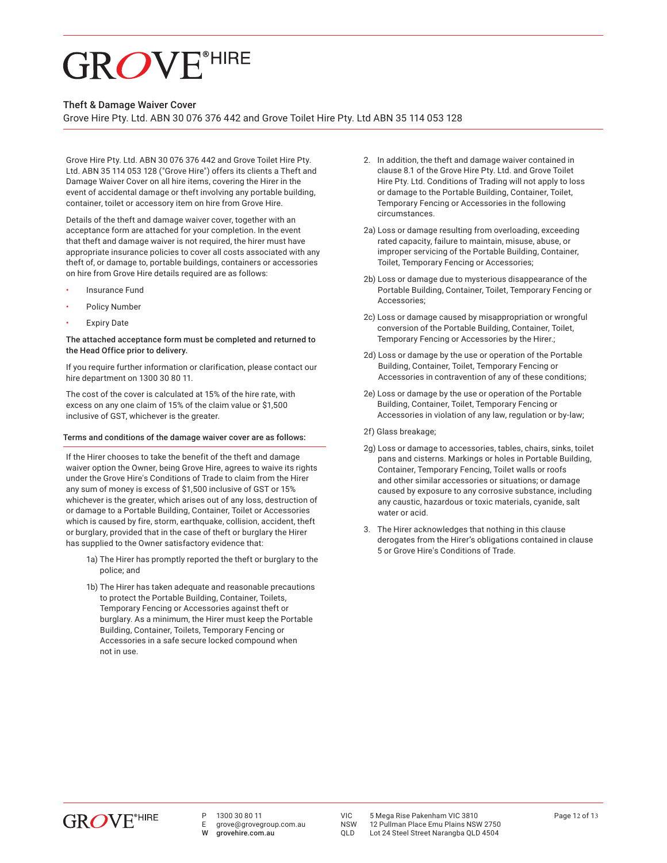#### Theft & Damage Waiver Cover

Grove Hire Pty. Ltd. ABN 30 076 376 442 and Grove Toilet Hire Pty. Ltd ABN 35 114 053 128

Grove Hire Pty. Ltd. ABN 30 076 376 442 and Grove Toilet Hire Pty. Ltd. ABN 35 114 053 128 ("Grove Hire") offers its clients a Theft and Damage Waiver Cover on all hire items, covering the Hirer in the event of accidental damage or theft involving any portable building, container, toilet or accessory item on hire from Grove Hire.

Details of the theft and damage waiver cover, together with an acceptance form are attached for your completion. In the event that theft and damage waiver is not required, the hirer must have appropriate insurance policies to cover all costs associated with any theft of, or damage to, portable buildings, containers or accessories on hire from Grove Hire details required are as follows:

- Insurance Fund
- Policy Number
- **Expiry Date**

#### The attached acceptance form must be completed and returned to the Head Office prior to delivery.

If you require further information or clarification, please contact our hire department on 1300 30 80 11.

The cost of the cover is calculated at 15% of the hire rate, with excess on any one claim of 15% of the claim value or \$1,500 inclusive of GST, whichever is the greater.

#### Terms and conditions of the damage waiver cover are as follows:

If the Hirer chooses to take the benefit of the theft and damage waiver option the Owner, being Grove Hire, agrees to waive its rights under the Grove Hire's Conditions of Trade to claim from the Hirer any sum of money is excess of \$1,500 inclusive of GST or 15% whichever is the greater, which arises out of any loss, destruction of or damage to a Portable Building, Container, Toilet or Accessories which is caused by fire, storm, earthquake, collision, accident, theft or burglary, provided that in the case of theft or burglary the Hirer has supplied to the Owner satisfactory evidence that:

- 1a) The Hirer has promptly reported the theft or burglary to the police; and
- 1b) The Hirer has taken adequate and reasonable precautions to protect the Portable Building, Container, Toilets, Temporary Fencing or Accessories against theft or burglary. As a minimum, the Hirer must keep the Portable Building, Container, Toilets, Temporary Fencing or Accessories in a safe secure locked compound when not in use.
- 2. In addition, the theft and damage waiver contained in clause 8.1 of the Grove Hire Pty. Ltd. and Grove Toilet Hire Pty. Ltd. Conditions of Trading will not apply to loss or damage to the Portable Building, Container, Toilet, Temporary Fencing or Accessories in the following circumstances.
- 2a) Loss or damage resulting from overloading, exceeding rated capacity, failure to maintain, misuse, abuse, or improper servicing of the Portable Building, Container, Toilet, Temporary Fencing or Accessories;
- 2b) Loss or damage due to mysterious disappearance of the Portable Building, Container, Toilet, Temporary Fencing or Accessories;
- 2c) Loss or damage caused by misappropriation or wrongful conversion of the Portable Building, Container, Toilet, Temporary Fencing or Accessories by the Hirer.;
- 2d) Loss or damage by the use or operation of the Portable Building, Container, Toilet, Temporary Fencing or Accessories in contravention of any of these conditions;
- 2e) Loss or damage by the use or operation of the Portable Building, Container, Toilet, Temporary Fencing or Accessories in violation of any law, regulation or by-law;
- 2f) Glass breakage;
- 2g) Loss or damage to accessories, tables, chairs, sinks, toilet pans and cisterns. Markings or holes in Portable Building, Container, Temporary Fencing, Toilet walls or roofs and other similar accessories or situations; or damage caused by exposure to any corrosive substance, including any caustic, hazardous or toxic materials, cyanide, salt water or acid.
- 3. The Hirer acknowledges that nothing in this clause derogates from the Hirer's obligations contained in clause 5 or Grove Hire's Conditions of Trade.



E grove@grovegroup.com.au grovehire.com.au

VIC 5 Mega Rise Pakenham VIC 3810<br>NSW 12 Pullman Place Emu Plains NSW 2750

NSW 12 Pullman Place Emu Plains NSW 2750<br>OLD Lot 24 Steel Street Narangba OLD 4504 Lot 24 Steel Street Narangba QLD 4504